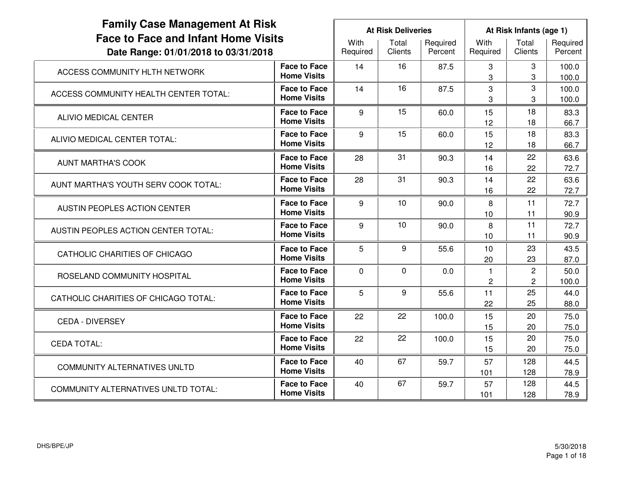| <b>Family Case Management At Risk</b>                                              |                                           |                  | <b>At Risk Deliveries</b> |                     | At Risk Infants (age 1)        |                                  |                     |  |
|------------------------------------------------------------------------------------|-------------------------------------------|------------------|---------------------------|---------------------|--------------------------------|----------------------------------|---------------------|--|
| <b>Face to Face and Infant Home Visits</b><br>Date Range: 01/01/2018 to 03/31/2018 |                                           | With<br>Required | Total<br>Clients          | Required<br>Percent | With<br>Required               | Total<br>Clients                 | Required<br>Percent |  |
| ACCESS COMMUNITY HLTH NETWORK                                                      | <b>Face to Face</b><br><b>Home Visits</b> | 14               | 16                        | 87.5                | 3<br>3                         | 3<br>3                           | 100.0<br>100.0      |  |
| ACCESS COMMUNITY HEALTH CENTER TOTAL:                                              | <b>Face to Face</b><br><b>Home Visits</b> | 14               | 16                        | 87.5                | 3<br>3                         | 3<br>3                           | 100.0<br>100.0      |  |
| ALIVIO MEDICAL CENTER                                                              | <b>Face to Face</b><br><b>Home Visits</b> | 9                | 15                        | 60.0                | 15<br>12                       | 18<br>18                         | 83.3<br>66.7        |  |
| ALIVIO MEDICAL CENTER TOTAL:                                                       | <b>Face to Face</b><br><b>Home Visits</b> | 9                | 15                        | 60.0                | 15<br>12                       | 18<br>18                         | 83.3<br>66.7        |  |
| <b>AUNT MARTHA'S COOK</b>                                                          | <b>Face to Face</b><br><b>Home Visits</b> | 28               | 31                        | 90.3                | 14<br>16                       | 22<br>22                         | 63.6<br>72.7        |  |
| AUNT MARTHA'S YOUTH SERV COOK TOTAL:                                               | <b>Face to Face</b><br><b>Home Visits</b> | 28               | 31                        | 90.3                | 14<br>16                       | 22<br>22                         | 63.6<br>72.7        |  |
| <b>AUSTIN PEOPLES ACTION CENTER</b>                                                | <b>Face to Face</b><br><b>Home Visits</b> | 9                | 10                        | 90.0                | 8<br>10                        | 11<br>11                         | 72.7<br>90.9        |  |
| AUSTIN PEOPLES ACTION CENTER TOTAL:                                                | <b>Face to Face</b><br><b>Home Visits</b> | 9                | 10                        | 90.0                | 8<br>10                        | 11<br>11                         | 72.7<br>90.9        |  |
| CATHOLIC CHARITIES OF CHICAGO                                                      | <b>Face to Face</b><br><b>Home Visits</b> | 5                | 9                         | 55.6                | 10<br>20                       | 23<br>23                         | 43.5<br>87.0        |  |
| ROSELAND COMMUNITY HOSPITAL                                                        | <b>Face to Face</b><br><b>Home Visits</b> | 0                | 0                         | 0.0                 | $\mathbf{1}$<br>$\overline{c}$ | $\overline{c}$<br>$\overline{c}$ | 50.0<br>100.0       |  |
| CATHOLIC CHARITIES OF CHICAGO TOTAL:                                               | <b>Face to Face</b><br><b>Home Visits</b> | 5                | 9                         | 55.6                | 11<br>22                       | 25<br>25                         | 44.0<br>88.0        |  |
| <b>CEDA - DIVERSEY</b>                                                             | <b>Face to Face</b><br><b>Home Visits</b> | 22               | 22                        | 100.0               | 15<br>15                       | 20<br>20                         | 75.0<br>75.0        |  |
| <b>CEDA TOTAL:</b>                                                                 | <b>Face to Face</b><br><b>Home Visits</b> | 22               | 22                        | 100.0               | 15<br>15                       | 20<br>20                         | 75.0<br>75.0        |  |
| <b>COMMUNITY ALTERNATIVES UNLTD</b>                                                | <b>Face to Face</b><br><b>Home Visits</b> | 40               | 67                        | 59.7                | 57<br>101                      | 128<br>128                       | 44.5<br>78.9        |  |
| COMMUNITY ALTERNATIVES UNLTD TOTAL:                                                | <b>Face to Face</b><br><b>Home Visits</b> | 40               | 67                        | 59.7                | 57<br>101                      | 128<br>128                       | 44.5<br>78.9        |  |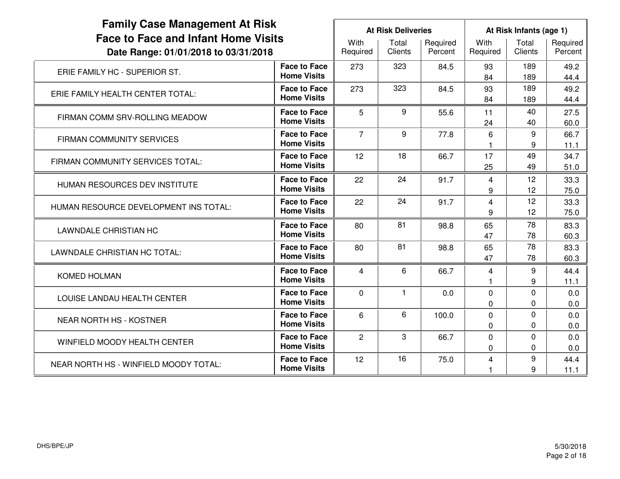| <b>Family Case Management At Risk</b>                                              |                                           |                  | <b>At Risk Deliveries</b> |                     | At Risk Infants (age 1)    |                  |                     |  |
|------------------------------------------------------------------------------------|-------------------------------------------|------------------|---------------------------|---------------------|----------------------------|------------------|---------------------|--|
| <b>Face to Face and Infant Home Visits</b><br>Date Range: 01/01/2018 to 03/31/2018 |                                           | With<br>Required | Total<br><b>Clients</b>   | Required<br>Percent | With<br>Required           | Total<br>Clients | Required<br>Percent |  |
| ERIE FAMILY HC - SUPERIOR ST.                                                      | <b>Face to Face</b><br><b>Home Visits</b> | 273              | 323                       | 84.5                | 93<br>84                   | 189<br>189       | 49.2<br>44.4        |  |
| ERIE FAMILY HEALTH CENTER TOTAL:                                                   | <b>Face to Face</b><br><b>Home Visits</b> | 273              | 323                       | 84.5                | 93<br>84                   | 189<br>189       | 49.2<br>44.4        |  |
| FIRMAN COMM SRV-ROLLING MEADOW                                                     | <b>Face to Face</b><br><b>Home Visits</b> | 5                | 9                         | 55.6                | 11<br>24                   | 40<br>40         | 27.5<br>60.0        |  |
| FIRMAN COMMUNITY SERVICES                                                          | <b>Face to Face</b><br><b>Home Visits</b> | $\overline{7}$   | 9                         | 77.8                | 6                          | 9<br>9           | 66.7<br>11.1        |  |
| FIRMAN COMMUNITY SERVICES TOTAL:                                                   | <b>Face to Face</b><br><b>Home Visits</b> | 12               | 18                        | 66.7                | 17<br>25                   | 49<br>49         | 34.7<br>51.0        |  |
| HUMAN RESOURCES DEV INSTITUTE                                                      | <b>Face to Face</b><br><b>Home Visits</b> | 22               | 24                        | 91.7                | $\overline{4}$<br>9        | 12<br>12         | 33.3<br>75.0        |  |
| HUMAN RESOURCE DEVELOPMENT INS TOTAL:                                              | <b>Face to Face</b><br><b>Home Visits</b> | 22               | 24                        | 91.7                | $\overline{4}$<br>9        | 12<br>12         | 33.3<br>75.0        |  |
| LAWNDALE CHRISTIAN HC                                                              | <b>Face to Face</b><br><b>Home Visits</b> | 80               | 81                        | 98.8                | 65<br>47                   | 78<br>78         | 83.3<br>60.3        |  |
| LAWNDALE CHRISTIAN HC TOTAL:                                                       | <b>Face to Face</b><br><b>Home Visits</b> | 80               | 81                        | 98.8                | 65<br>47                   | 78<br>78         | 83.3<br>60.3        |  |
| <b>KOMED HOLMAN</b>                                                                | <b>Face to Face</b><br><b>Home Visits</b> | $\overline{4}$   | 6                         | 66.7                | 4                          | 9<br>9           | 44.4<br>11.1        |  |
| LOUISE LANDAU HEALTH CENTER                                                        | <b>Face to Face</b><br><b>Home Visits</b> | $\mathbf 0$      | 1                         | 0.0                 | $\overline{0}$<br>$\Omega$ | $\Omega$<br>0    | 0.0<br>0.0          |  |
| <b>NEAR NORTH HS - KOSTNER</b>                                                     | <b>Face to Face</b><br><b>Home Visits</b> | 6                | 6                         | 100.0               | 0<br>0                     | 0<br>0           | 0.0<br>0.0          |  |
| WINFIELD MOODY HEALTH CENTER                                                       | <b>Face to Face</b><br><b>Home Visits</b> | $\overline{c}$   | 3                         | 66.7                | $\mathbf 0$<br>$\pmb{0}$   | 0<br>0           | 0.0<br>0.0          |  |
| NEAR NORTH HS - WINFIELD MOODY TOTAL:                                              | <b>Face to Face</b><br><b>Home Visits</b> | 12               | 16                        | 75.0                | 4                          | 9<br>9           | 44.4<br>11.1        |  |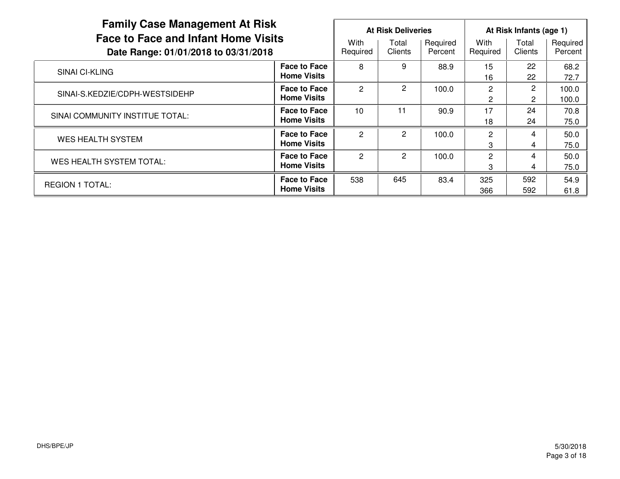| <b>Family Case Management At Risk</b><br><b>Face to Face and Infant Home Visits</b><br>Date Range: 01/01/2018 to 03/31/2018 |                                           | <b>At Risk Deliveries</b> |                  |                     | At Risk Infants (age 1) |                  |                     |  |
|-----------------------------------------------------------------------------------------------------------------------------|-------------------------------------------|---------------------------|------------------|---------------------|-------------------------|------------------|---------------------|--|
|                                                                                                                             |                                           | With<br>Required          | Total<br>Clients | Required<br>Percent | With<br>Required        | Total<br>Clients | Required<br>Percent |  |
| SINAI CI-KLING                                                                                                              | <b>Face to Face</b><br><b>Home Visits</b> | 8                         | 9                | 88.9                | 15<br>16                | 22<br>22         | 68.2<br>72.7        |  |
| SINAI-S.KEDZIE/CDPH-WESTSIDEHP                                                                                              | <b>Face to Face</b><br><b>Home Visits</b> | 2                         | $\overline{2}$   | 100.0               | 2<br>$\overline{2}$     | 2<br>2           | 100.0<br>100.0      |  |
| SINAI COMMUNITY INSTITUE TOTAL:                                                                                             | <b>Face to Face</b><br><b>Home Visits</b> | 10                        | 11               | 90.9                | 17<br>18                | 24<br>24         | 70.8<br>75.0        |  |
| WES HEALTH SYSTEM                                                                                                           | <b>Face to Face</b><br><b>Home Visits</b> | 2                         | $\overline{2}$   | 100.0               | 2<br>3                  | 4<br>4           | 50.0<br>75.0        |  |
| <b>WES HEALTH SYSTEM TOTAL:</b>                                                                                             | <b>Face to Face</b><br><b>Home Visits</b> | 2                         | $\overline{2}$   | 100.0               | $\overline{2}$<br>3     | 4<br>4           | 50.0<br>75.0        |  |
| <b>REGION 1 TOTAL:</b>                                                                                                      | <b>Face to Face</b><br><b>Home Visits</b> | 538                       | 645              | 83.4                | 325<br>366              | 592<br>592       | 54.9<br>61.8        |  |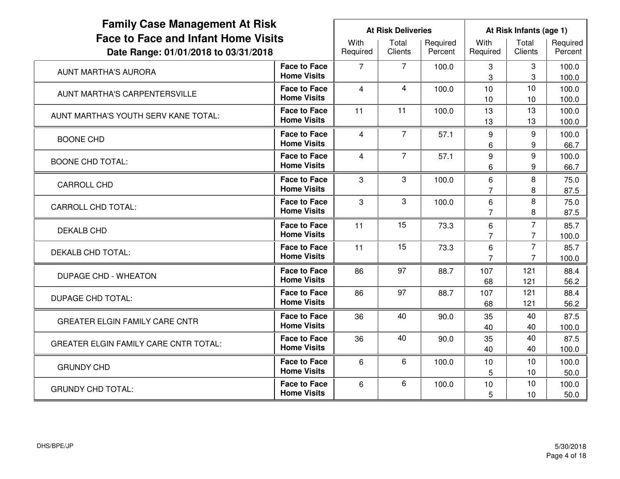| <b>Family Case Management At Risk</b>                                              |                                           |                  | <b>At Risk Deliveries</b> |                     | At Risk Infants (age 1)           |                                  |                     |  |
|------------------------------------------------------------------------------------|-------------------------------------------|------------------|---------------------------|---------------------|-----------------------------------|----------------------------------|---------------------|--|
| <b>Face to Face and Infant Home Visits</b><br>Date Range: 01/01/2018 to 03/31/2018 |                                           | With<br>Required | Total<br><b>Clients</b>   | Required<br>Percent | With<br>Required                  | Total<br>Clients                 | Required<br>Percent |  |
| <b>AUNT MARTHA'S AURORA</b>                                                        | <b>Face to Face</b><br><b>Home Visits</b> | $\overline{7}$   | $\overline{7}$            | 100.0               | 3<br>3                            | 3<br>3                           | 100.0<br>100.0      |  |
| <b>AUNT MARTHA'S CARPENTERSVILLE</b>                                               | <b>Face to Face</b><br><b>Home Visits</b> | $\overline{4}$   | 4                         | 100.0               | 10<br>10                          | 10<br>10                         | 100.0<br>100.0      |  |
| AUNT MARTHA'S YOUTH SERV KANE TOTAL:                                               | <b>Face to Face</b><br><b>Home Visits</b> | 11               | 11                        | 100.0               | 13<br>13                          | 13<br>13                         | 100.0<br>100.0      |  |
| <b>BOONE CHD</b>                                                                   | <b>Face to Face</b><br><b>Home Visits</b> | 4                | $\overline{7}$            | 57.1                | 9<br>6                            | 9<br>9                           | 100.0<br>66.7       |  |
| <b>BOONE CHD TOTAL:</b>                                                            | <b>Face to Face</b><br><b>Home Visits</b> | $\overline{4}$   | $\overline{7}$            | 57.1                | $\boldsymbol{9}$<br>6             | $\boldsymbol{9}$<br>9            | 100.0<br>66.7       |  |
| <b>CARROLL CHD</b>                                                                 | <b>Face to Face</b><br><b>Home Visits</b> | 3                | 3                         | 100.0               | 6<br>7                            | 8<br>8                           | 75.0<br>87.5        |  |
| <b>CARROLL CHD TOTAL:</b>                                                          | <b>Face to Face</b><br><b>Home Visits</b> | 3                | 3                         | 100.0               | $6\phantom{1}6$<br>$\overline{7}$ | 8<br>8                           | 75.0<br>87.5        |  |
| <b>DEKALB CHD</b>                                                                  | <b>Face to Face</b><br><b>Home Visits</b> | 11               | 15                        | 73.3                | 6<br>7                            | $\overline{7}$<br>$\overline{7}$ | 85.7<br>100.0       |  |
| DEKALB CHD TOTAL:                                                                  | <b>Face to Face</b><br><b>Home Visits</b> | 11               | 15                        | 73.3                | 6<br>$\overline{7}$               | $\overline{7}$<br>$\overline{7}$ | 85.7<br>100.0       |  |
| <b>DUPAGE CHD - WHEATON</b>                                                        | <b>Face to Face</b><br><b>Home Visits</b> | 86               | 97                        | 88.7                | 107<br>68                         | 121<br>121                       | 88.4<br>56.2        |  |
| <b>DUPAGE CHD TOTAL:</b>                                                           | <b>Face to Face</b><br><b>Home Visits</b> | 86               | 97                        | 88.7                | 107<br>68                         | 121<br>121                       | 88.4<br>56.2        |  |
| <b>GREATER ELGIN FAMILY CARE CNTR</b>                                              | <b>Face to Face</b><br><b>Home Visits</b> | 36               | 40                        | 90.0                | 35<br>40                          | 40<br>40                         | 87.5<br>100.0       |  |
| <b>GREATER ELGIN FAMILY CARE CNTR TOTAL:</b>                                       | <b>Face to Face</b><br><b>Home Visits</b> | 36               | 40                        | 90.0                | 35<br>40                          | 40<br>40                         | 87.5<br>100.0       |  |
| <b>GRUNDY CHD</b>                                                                  | <b>Face to Face</b><br><b>Home Visits</b> | 6                | 6                         | 100.0               | 10<br>5                           | 10<br>10                         | 100.0<br>50.0       |  |
| <b>GRUNDY CHD TOTAL:</b>                                                           | <b>Face to Face</b><br><b>Home Visits</b> | 6                | 6                         | 100.0               | 10<br>5                           | 10<br>10                         | 100.0<br>50.0       |  |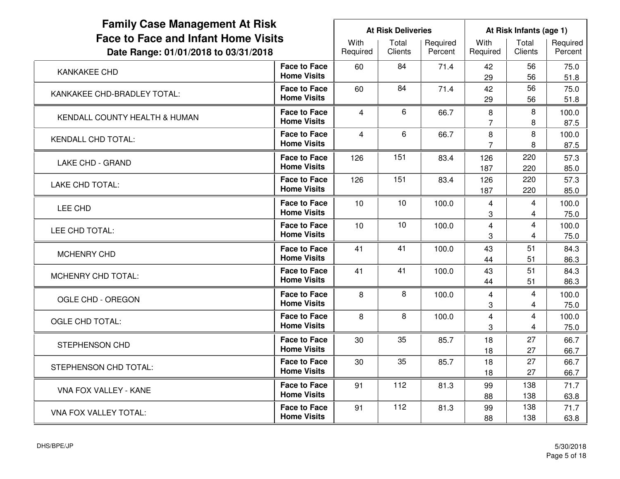| <b>Family Case Management At Risk</b>                                              |                                           |                  | <b>At Risk Deliveries</b> |                     | At Risk Infants (age 1)            |                                                    |                     |  |
|------------------------------------------------------------------------------------|-------------------------------------------|------------------|---------------------------|---------------------|------------------------------------|----------------------------------------------------|---------------------|--|
| <b>Face to Face and Infant Home Visits</b><br>Date Range: 01/01/2018 to 03/31/2018 |                                           | With<br>Required | Total<br>Clients          | Required<br>Percent | With<br>Required                   | Total<br>Clients                                   | Required<br>Percent |  |
| <b>KANKAKEE CHD</b>                                                                | <b>Face to Face</b><br><b>Home Visits</b> | 60               | 84                        | 71.4                | 42<br>29                           | 56<br>56                                           | 75.0<br>51.8        |  |
| KANKAKEE CHD-BRADLEY TOTAL:                                                        | <b>Face to Face</b><br><b>Home Visits</b> | 60               | 84                        | 71.4                | 42<br>29                           | 56<br>56                                           | 75.0<br>51.8        |  |
| KENDALL COUNTY HEALTH & HUMAN                                                      | <b>Face to Face</b><br><b>Home Visits</b> | $\overline{4}$   | 6                         | 66.7                | 8<br>$\overline{7}$                | 8<br>8                                             | 100.0<br>87.5       |  |
| <b>KENDALL CHD TOTAL:</b>                                                          | <b>Face to Face</b><br><b>Home Visits</b> | 4                | 6                         | 66.7                | 8<br>7                             | 8<br>8                                             | 100.0<br>87.5       |  |
| <b>LAKE CHD - GRAND</b>                                                            | <b>Face to Face</b><br><b>Home Visits</b> | 126              | 151                       | 83.4                | 126<br>187                         | 220<br>220                                         | 57.3<br>85.0        |  |
| <b>LAKE CHD TOTAL:</b>                                                             | <b>Face to Face</b><br><b>Home Visits</b> | 126              | 151                       | 83.4                | 126<br>187                         | 220<br>220                                         | 57.3<br>85.0        |  |
| LEE CHD                                                                            | <b>Face to Face</b><br><b>Home Visits</b> | 10               | 10                        | 100.0               | 4<br>3                             | 4<br>4                                             | 100.0<br>75.0       |  |
| LEE CHD TOTAL:                                                                     | <b>Face to Face</b><br><b>Home Visits</b> | 10               | 10                        | 100.0               | $\overline{4}$<br>3                | $\overline{\mathbf{4}}$<br>4                       | 100.0<br>75.0       |  |
| <b>MCHENRY CHD</b>                                                                 | <b>Face to Face</b><br><b>Home Visits</b> | 41               | 41                        | 100.0               | 43<br>44                           | 51<br>51                                           | 84.3<br>86.3        |  |
| MCHENRY CHD TOTAL:                                                                 | <b>Face to Face</b><br><b>Home Visits</b> | 41               | 41                        | 100.0               | 43<br>44                           | 51<br>51                                           | 84.3<br>86.3        |  |
| OGLE CHD - OREGON                                                                  | <b>Face to Face</b><br><b>Home Visits</b> | 8                | 8                         | 100.0               | 4<br>3                             | 4<br>$\overline{\mathbf{4}}$                       | 100.0<br>75.0       |  |
| <b>OGLE CHD TOTAL:</b>                                                             | <b>Face to Face</b><br><b>Home Visits</b> | 8                | 8                         | 100.0               | $\overline{4}$<br>$\boldsymbol{3}$ | $\overline{\mathbf{4}}$<br>$\overline{\mathbf{4}}$ | 100.0<br>75.0       |  |
| STEPHENSON CHD                                                                     | <b>Face to Face</b><br><b>Home Visits</b> | 30               | 35                        | 85.7                | 18<br>18                           | 27<br>27                                           | 66.7<br>66.7        |  |
| STEPHENSON CHD TOTAL:                                                              | <b>Face to Face</b><br><b>Home Visits</b> | 30               | 35                        | 85.7                | 18<br>18                           | 27<br>27                                           | 66.7<br>66.7        |  |
| VNA FOX VALLEY - KANE                                                              | <b>Face to Face</b><br><b>Home Visits</b> | 91               | 112                       | 81.3                | 99<br>88                           | 138<br>138                                         | 71.7<br>63.8        |  |
| <b>VNA FOX VALLEY TOTAL:</b>                                                       | <b>Face to Face</b><br><b>Home Visits</b> | 91               | 112                       | 81.3                | 99<br>88                           | 138<br>138                                         | 71.7<br>63.8        |  |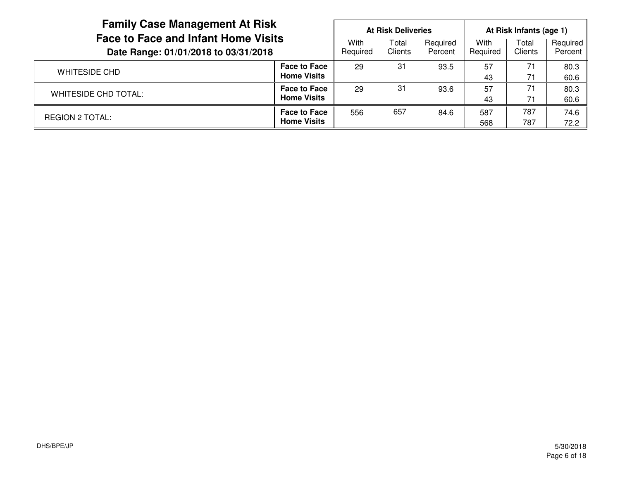| <b>Family Case Management At Risk</b><br><b>Face to Face and Infant Home Visits</b><br>Date Range: 01/01/2018 to 03/31/2018 |                                           | <b>At Risk Deliveries</b> |                  |                     | At Risk Infants (age 1) |                         |                     |  |
|-----------------------------------------------------------------------------------------------------------------------------|-------------------------------------------|---------------------------|------------------|---------------------|-------------------------|-------------------------|---------------------|--|
|                                                                                                                             |                                           | With<br>Required          | Total<br>Clients | Required<br>Percent | With<br>Required        | Total<br><b>Clients</b> | Required<br>Percent |  |
| <b>WHITESIDE CHD</b>                                                                                                        | <b>Face to Face</b><br><b>Home Visits</b> | 29                        | 31               | 93.5                | 57<br>43                | 71<br>71                | 80.3<br>60.6        |  |
| <b>WHITESIDE CHD TOTAL:</b>                                                                                                 | Face to Face<br><b>Home Visits</b>        | 29                        | 31               | 93.6                | 57<br>43                | 71<br>71                | 80.3<br>60.6        |  |
| REGION 2 TOTAL:                                                                                                             | <b>Face to Face</b><br><b>Home Visits</b> | 556                       | 657              | 84.6                | 587<br>568              | 787<br>787              | 74.6<br>72.2        |  |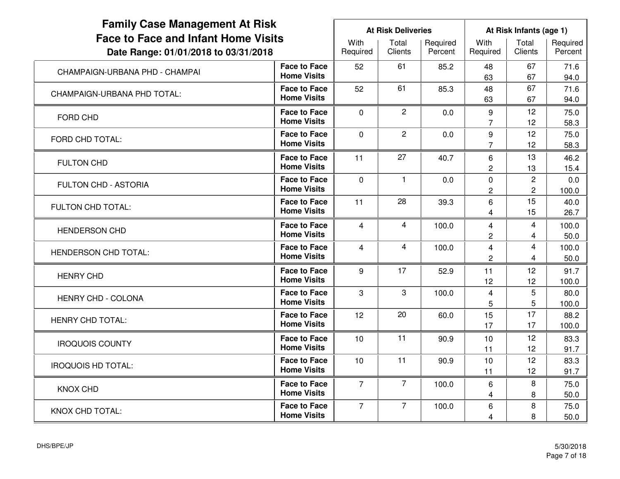| <b>Family Case Management At Risk</b>                                              |                                           |                  | <b>At Risk Deliveries</b> |                     | At Risk Infants (age 1)       |                              |                     |  |
|------------------------------------------------------------------------------------|-------------------------------------------|------------------|---------------------------|---------------------|-------------------------------|------------------------------|---------------------|--|
| <b>Face to Face and Infant Home Visits</b><br>Date Range: 01/01/2018 to 03/31/2018 |                                           | With<br>Required | Total<br><b>Clients</b>   | Required<br>Percent | With<br>Required              | Total<br>Clients             | Required<br>Percent |  |
| CHAMPAIGN-URBANA PHD - CHAMPAI                                                     | <b>Face to Face</b><br><b>Home Visits</b> | 52               | 61                        | 85.2                | 48<br>63                      | 67<br>67                     | 71.6<br>94.0        |  |
| CHAMPAIGN-URBANA PHD TOTAL:                                                        | <b>Face to Face</b><br><b>Home Visits</b> | 52               | 61                        | 85.3                | 48<br>63                      | 67<br>67                     | 71.6<br>94.0        |  |
| <b>FORD CHD</b>                                                                    | <b>Face to Face</b><br><b>Home Visits</b> | 0                | $\overline{2}$            | 0.0                 | 9<br>7                        | 12<br>12                     | 75.0<br>58.3        |  |
| FORD CHD TOTAL:                                                                    | <b>Face to Face</b><br><b>Home Visits</b> | $\mathbf 0$      | $\overline{2}$            | 0.0                 | 9<br>$\overline{7}$           | 12<br>12                     | 75.0<br>58.3        |  |
| <b>FULTON CHD</b>                                                                  | <b>Face to Face</b><br><b>Home Visits</b> | 11               | 27                        | 40.7                | 6<br>$\overline{c}$           | 13<br>13                     | 46.2<br>15.4        |  |
| <b>FULTON CHD - ASTORIA</b>                                                        | <b>Face to Face</b><br><b>Home Visits</b> | $\mathbf 0$      | $\mathbf{1}$              | 0.0                 | $\mathbf 0$<br>$\overline{c}$ | $\overline{c}$<br>$\sqrt{2}$ | 0.0<br>100.0        |  |
| FULTON CHD TOTAL:                                                                  | <b>Face to Face</b><br><b>Home Visits</b> | 11               | 28                        | 39.3                | 6<br>$\overline{4}$           | 15<br>15                     | 40.0<br>26.7        |  |
| <b>HENDERSON CHD</b>                                                               | <b>Face to Face</b><br><b>Home Visits</b> | 4                | 4                         | 100.0               | 4<br>$\overline{c}$           | 4<br>4                       | 100.0<br>50.0       |  |
| <b>HENDERSON CHD TOTAL:</b>                                                        | <b>Face to Face</b><br><b>Home Visits</b> | 4                | 4                         | 100.0               | 4<br>$\overline{2}$           | 4<br>4                       | 100.0<br>50.0       |  |
| <b>HENRY CHD</b>                                                                   | <b>Face to Face</b><br><b>Home Visits</b> | 9                | 17                        | 52.9                | 11<br>12                      | 12<br>12                     | 91.7<br>100.0       |  |
| <b>HENRY CHD - COLONA</b>                                                          | <b>Face to Face</b><br><b>Home Visits</b> | 3                | 3                         | 100.0               | $\overline{4}$<br>5           | 5<br>5                       | 80.0<br>100.0       |  |
| <b>HENRY CHD TOTAL:</b>                                                            | <b>Face to Face</b><br><b>Home Visits</b> | 12               | 20                        | 60.0                | 15<br>17                      | 17<br>17                     | 88.2<br>100.0       |  |
| <b>IROQUOIS COUNTY</b>                                                             | <b>Face to Face</b><br><b>Home Visits</b> | 10               | 11                        | 90.9                | 10<br>11                      | 12<br>12                     | 83.3<br>91.7        |  |
| <b>IROQUOIS HD TOTAL:</b>                                                          | <b>Face to Face</b><br><b>Home Visits</b> | 10               | 11                        | 90.9                | 10<br>11                      | 12<br>12                     | 83.3<br>91.7        |  |
| <b>KNOX CHD</b>                                                                    | <b>Face to Face</b><br><b>Home Visits</b> | $\overline{7}$   | $\overline{7}$            | 100.0               | 6<br>4                        | 8<br>8                       | 75.0<br>50.0        |  |
| <b>KNOX CHD TOTAL:</b>                                                             | <b>Face to Face</b><br><b>Home Visits</b> | $\overline{7}$   | $\overline{7}$            | 100.0               | 6<br>4                        | 8<br>8                       | 75.0<br>50.0        |  |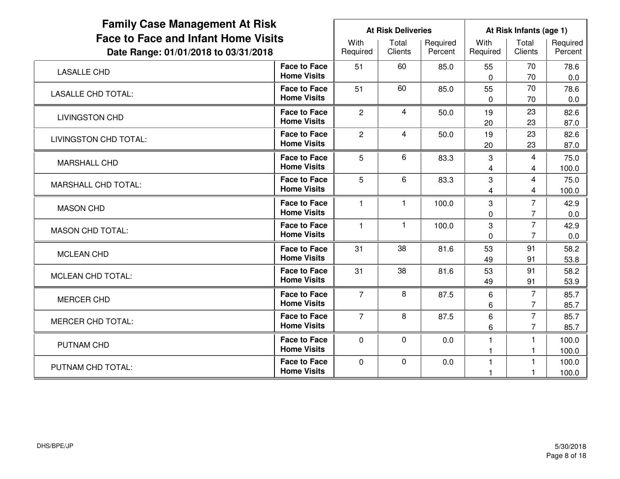| <b>Family Case Management At Risk</b>                                              |                                           |                  | <b>At Risk Deliveries</b> |                     | At Risk Infants (age 1) |                                  |                     |  |
|------------------------------------------------------------------------------------|-------------------------------------------|------------------|---------------------------|---------------------|-------------------------|----------------------------------|---------------------|--|
| <b>Face to Face and Infant Home Visits</b><br>Date Range: 01/01/2018 to 03/31/2018 |                                           | With<br>Required | Total<br>Clients          | Required<br>Percent | With<br>Required        | Total<br>Clients                 | Required<br>Percent |  |
| <b>LASALLE CHD</b>                                                                 | <b>Face to Face</b><br><b>Home Visits</b> | 51               | 60                        | 85.0                | 55<br>$\Omega$          | 70<br>70                         | 78.6<br>0.0         |  |
| <b>LASALLE CHD TOTAL:</b>                                                          | <b>Face to Face</b><br><b>Home Visits</b> | 51               | 60                        | 85.0                | 55<br>$\Omega$          | 70<br>70                         | 78.6<br>0.0         |  |
| <b>LIVINGSTON CHD</b>                                                              | <b>Face to Face</b><br><b>Home Visits</b> | $\overline{c}$   | 4                         | 50.0                | 19<br>20                | 23<br>23                         | 82.6<br>87.0        |  |
| LIVINGSTON CHD TOTAL:                                                              | <b>Face to Face</b><br><b>Home Visits</b> | $\overline{c}$   | $\overline{4}$            | 50.0                | 19<br>20                | 23<br>23                         | 82.6<br>87.0        |  |
| <b>MARSHALL CHD</b>                                                                | <b>Face to Face</b><br><b>Home Visits</b> | 5                | 6                         | 83.3                | 3<br>4                  | 4<br>4                           | 75.0<br>100.0       |  |
| <b>MARSHALL CHD TOTAL:</b>                                                         | <b>Face to Face</b><br><b>Home Visits</b> | 5                | 6                         | 83.3                | 3<br>4                  | 4<br>4                           | 75.0<br>100.0       |  |
| <b>MASON CHD</b>                                                                   | <b>Face to Face</b><br><b>Home Visits</b> | $\mathbf{1}$     | $\mathbf{1}$              | 100.0               | 3<br>0                  | $\overline{7}$<br>$\overline{7}$ | 42.9<br>0.0         |  |
| <b>MASON CHD TOTAL:</b>                                                            | <b>Face to Face</b><br><b>Home Visits</b> | $\mathbf{1}$     | $\mathbf{1}$              | 100.0               | 3<br>$\Omega$           | $\overline{7}$<br>$\overline{7}$ | 42.9<br>0.0         |  |
| <b>MCLEAN CHD</b>                                                                  | <b>Face to Face</b><br><b>Home Visits</b> | 31               | 38                        | 81.6                | 53<br>49                | 91<br>91                         | 58.2<br>53.8        |  |
| <b>MCLEAN CHD TOTAL:</b>                                                           | <b>Face to Face</b><br><b>Home Visits</b> | 31               | 38                        | 81.6                | 53<br>49                | 91<br>91                         | 58.2<br>53.9        |  |
| <b>MERCER CHD</b>                                                                  | <b>Face to Face</b><br><b>Home Visits</b> | $\overline{7}$   | 8                         | 87.5                | 6<br>6                  | $\overline{7}$<br>7              | 85.7<br>85.7        |  |
| <b>MERCER CHD TOTAL:</b>                                                           | <b>Face to Face</b><br><b>Home Visits</b> | $\overline{7}$   | 8                         | 87.5                | 6<br>6                  | $\overline{7}$<br>$\overline{7}$ | 85.7<br>85.7        |  |
| PUTNAM CHD                                                                         | <b>Face to Face</b><br><b>Home Visits</b> | 0                | 0                         | 0.0                 | $\mathbf{1}$            | 1<br>1                           | 100.0<br>100.0      |  |
| PUTNAM CHD TOTAL:                                                                  | <b>Face to Face</b><br><b>Home Visits</b> | $\mathbf 0$      | 0                         | 0.0                 | $\mathbf{1}$            | 1                                | 100.0<br>100.0      |  |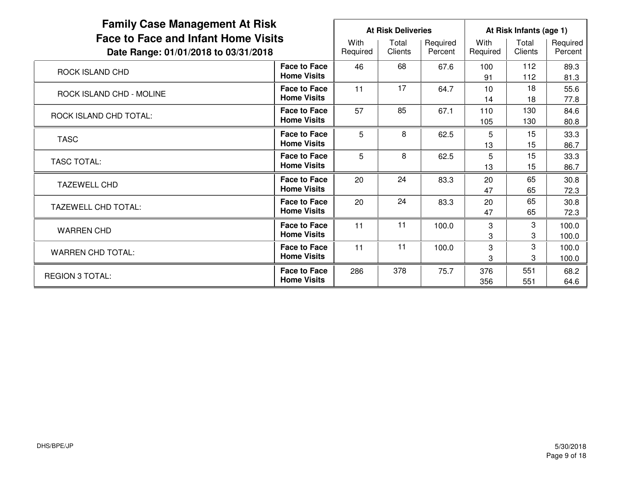| <b>Family Case Management At Risk</b><br><b>Face to Face and Infant Home Visits</b><br>Date Range: 01/01/2018 to 03/31/2018 |                                           |                  | <b>At Risk Deliveries</b> |                     | At Risk Infants (age 1) |                  |                     |  |
|-----------------------------------------------------------------------------------------------------------------------------|-------------------------------------------|------------------|---------------------------|---------------------|-------------------------|------------------|---------------------|--|
|                                                                                                                             |                                           | With<br>Required | Total<br>Clients          | Required<br>Percent | With<br>Required        | Total<br>Clients | Required<br>Percent |  |
| ROCK ISLAND CHD                                                                                                             | <b>Face to Face</b><br><b>Home Visits</b> | 46               | 68                        | 67.6                | 100<br>91               | 112<br>112       | 89.3<br>81.3        |  |
| ROCK ISLAND CHD - MOLINE                                                                                                    | <b>Face to Face</b><br><b>Home Visits</b> | 11               | 17                        | 64.7                | 10<br>14                | 18<br>18         | 55.6<br>77.8        |  |
| ROCK ISLAND CHD TOTAL:                                                                                                      | <b>Face to Face</b><br><b>Home Visits</b> | 57               | 85                        | 67.1                | 110<br>105              | 130<br>130       | 84.6<br>80.8        |  |
| <b>TASC</b>                                                                                                                 | <b>Face to Face</b><br><b>Home Visits</b> | 5                | 8                         | 62.5                | 5<br>13                 | 15<br>15         | 33.3<br>86.7        |  |
| <b>TASC TOTAL:</b>                                                                                                          | <b>Face to Face</b><br><b>Home Visits</b> | 5                | 8                         | 62.5                | 5<br>13                 | 15<br>15         | 33.3<br>86.7        |  |
| <b>TAZEWELL CHD</b>                                                                                                         | <b>Face to Face</b><br><b>Home Visits</b> | 20               | 24                        | 83.3                | 20<br>47                | 65<br>65         | 30.8<br>72.3        |  |
| <b>TAZEWELL CHD TOTAL:</b>                                                                                                  | <b>Face to Face</b><br><b>Home Visits</b> | 20               | 24                        | 83.3                | 20<br>47                | 65<br>65         | 30.8<br>72.3        |  |
| <b>WARREN CHD</b>                                                                                                           | <b>Face to Face</b><br><b>Home Visits</b> | 11               | 11                        | 100.0               | 3<br>3                  | 3<br>3           | 100.0<br>100.0      |  |
| <b>WARREN CHD TOTAL:</b>                                                                                                    | <b>Face to Face</b><br><b>Home Visits</b> | 11               | 11                        | 100.0               | 3<br>3                  | 3<br>3           | 100.0<br>100.0      |  |
| <b>REGION 3 TOTAL:</b>                                                                                                      | <b>Face to Face</b><br><b>Home Visits</b> | 286              | 378                       | 75.7                | 376<br>356              | 551<br>551       | 68.2<br>64.6        |  |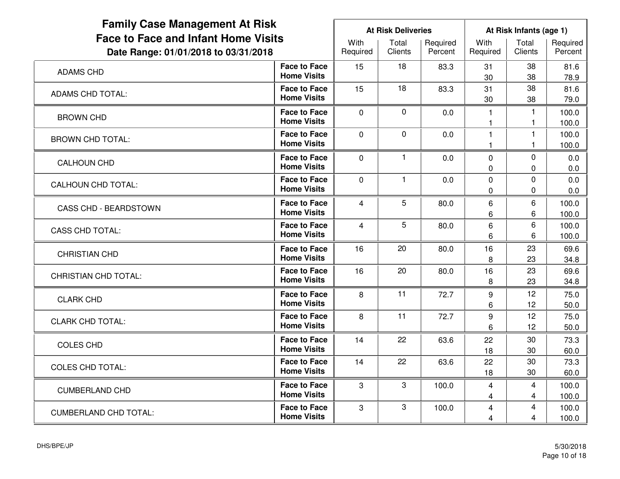| <b>Family Case Management At Risk</b>                                              |                                           |                  | <b>At Risk Deliveries</b> |                     | At Risk Infants (age 1)      |                              |                     |  |
|------------------------------------------------------------------------------------|-------------------------------------------|------------------|---------------------------|---------------------|------------------------------|------------------------------|---------------------|--|
| <b>Face to Face and Infant Home Visits</b><br>Date Range: 01/01/2018 to 03/31/2018 |                                           | With<br>Required | Total<br>Clients          | Required<br>Percent | With<br>Required             | Total<br>Clients             | Required<br>Percent |  |
| <b>ADAMS CHD</b>                                                                   | <b>Face to Face</b><br><b>Home Visits</b> | 15               | 18                        | 83.3                | 31<br>30                     | 38<br>38                     | 81.6<br>78.9        |  |
| <b>ADAMS CHD TOTAL:</b>                                                            | <b>Face to Face</b><br><b>Home Visits</b> | 15               | 18                        | 83.3                | 31<br>30                     | 38<br>38                     | 81.6<br>79.0        |  |
| <b>BROWN CHD</b>                                                                   | <b>Face to Face</b><br><b>Home Visits</b> | $\mathbf 0$      | $\mathbf 0$               | 0.0                 | $\mathbf{1}$<br>-1           | $\mathbf{1}$<br>1            | 100.0<br>100.0      |  |
| <b>BROWN CHD TOTAL:</b>                                                            | <b>Face to Face</b><br><b>Home Visits</b> | 0                | 0                         | 0.0                 | $\mathbf{1}$<br>$\mathbf{1}$ | $\mathbf{1}$<br>$\mathbf{1}$ | 100.0<br>100.0      |  |
| <b>CALHOUN CHD</b>                                                                 | <b>Face to Face</b><br><b>Home Visits</b> | $\mathbf 0$      | $\mathbf{1}$              | 0.0                 | $\mathbf 0$<br>$\mathbf 0$   | $\mathbf 0$<br>0             | 0.0<br>0.0          |  |
| <b>CALHOUN CHD TOTAL:</b>                                                          | <b>Face to Face</b><br><b>Home Visits</b> | $\mathbf 0$      | $\mathbf{1}$              | 0.0                 | $\mathbf 0$<br>$\mathbf 0$   | $\mathbf 0$<br>$\mathbf 0$   | 0.0<br>0.0          |  |
| CASS CHD - BEARDSTOWN                                                              | <b>Face to Face</b><br><b>Home Visits</b> | 4                | 5                         | 80.0                | 6<br>6                       | 6<br>6                       | 100.0<br>100.0      |  |
| <b>CASS CHD TOTAL:</b>                                                             | <b>Face to Face</b><br><b>Home Visits</b> | 4                | 5                         | 80.0                | $\,6$<br>6                   | $6\phantom{1}6$<br>6         | 100.0<br>100.0      |  |
| <b>CHRISTIAN CHD</b>                                                               | <b>Face to Face</b><br><b>Home Visits</b> | 16               | 20                        | 80.0                | 16<br>8                      | 23<br>23                     | 69.6<br>34.8        |  |
| <b>CHRISTIAN CHD TOTAL:</b>                                                        | <b>Face to Face</b><br><b>Home Visits</b> | 16               | 20                        | 80.0                | 16<br>8                      | 23<br>23                     | 69.6<br>34.8        |  |
| <b>CLARK CHD</b>                                                                   | <b>Face to Face</b><br><b>Home Visits</b> | 8                | 11                        | 72.7                | 9<br>6                       | 12<br>12                     | 75.0<br>50.0        |  |
| <b>CLARK CHD TOTAL:</b>                                                            | <b>Face to Face</b><br><b>Home Visits</b> | 8                | 11                        | 72.7                | 9<br>6                       | 12<br>12                     | 75.0<br>50.0        |  |
| <b>COLES CHD</b>                                                                   | <b>Face to Face</b><br><b>Home Visits</b> | 14               | 22                        | 63.6                | 22<br>18                     | 30<br>30                     | 73.3<br>60.0        |  |
| <b>COLES CHD TOTAL:</b>                                                            | <b>Face to Face</b><br><b>Home Visits</b> | 14               | 22                        | 63.6                | 22<br>18                     | 30<br>30                     | 73.3<br>60.0        |  |
| <b>CUMBERLAND CHD</b>                                                              | <b>Face to Face</b><br><b>Home Visits</b> | 3                | 3                         | 100.0               | 4<br>4                       | $\overline{4}$<br>4          | 100.0<br>100.0      |  |
| <b>CUMBERLAND CHD TOTAL:</b>                                                       | <b>Face to Face</b><br><b>Home Visits</b> | 3                | 3                         | 100.0               | 4<br>4                       | $\overline{4}$<br>4          | 100.0<br>100.0      |  |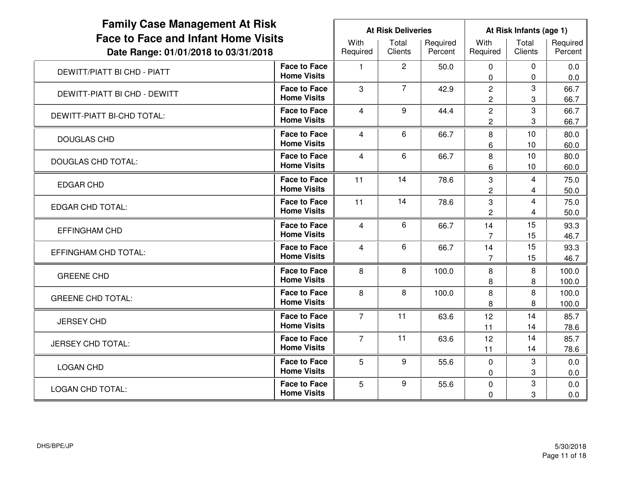| <b>Family Case Management At Risk</b>                                              |                                           |                  | <b>At Risk Deliveries</b> |                     | At Risk Infants (age 1)          |                  |                     |  |
|------------------------------------------------------------------------------------|-------------------------------------------|------------------|---------------------------|---------------------|----------------------------------|------------------|---------------------|--|
| <b>Face to Face and Infant Home Visits</b><br>Date Range: 01/01/2018 to 03/31/2018 |                                           | With<br>Required | Total<br><b>Clients</b>   | Required<br>Percent | With<br>Required                 | Total<br>Clients | Required<br>Percent |  |
| <b>DEWITT/PIATT BI CHD - PIATT</b>                                                 | <b>Face to Face</b>                       | $\mathbf{1}$     | $\overline{2}$            | 50.0                | $\mathbf 0$                      | $\mathbf{0}$     | 0.0                 |  |
|                                                                                    | <b>Home Visits</b>                        |                  |                           |                     | 0                                | 0                | 0.0                 |  |
| DEWITT-PIATT BI CHD - DEWITT                                                       | <b>Face to Face</b><br><b>Home Visits</b> | 3                | $\overline{7}$            | 42.9                | $\overline{c}$<br>$\overline{c}$ | 3<br>3           | 66.7<br>66.7        |  |
| DEWITT-PIATT BI-CHD TOTAL:                                                         | <b>Face to Face</b>                       | 4                | 9                         | 44.4                | $\overline{c}$                   | 3                | 66.7                |  |
|                                                                                    | <b>Home Visits</b>                        |                  |                           |                     | $\overline{2}$                   | 3                | 66.7                |  |
| <b>DOUGLAS CHD</b>                                                                 | <b>Face to Face</b><br><b>Home Visits</b> | 4                | 6                         | 66.7                | 8<br>6                           | 10<br>10         | 80.0<br>60.0        |  |
|                                                                                    | <b>Face to Face</b>                       | $\overline{4}$   | 6                         | 66.7                | 8                                | 10               | 80.0                |  |
| <b>DOUGLAS CHD TOTAL:</b>                                                          | <b>Home Visits</b>                        |                  |                           |                     | 6                                | 10               | 60.0                |  |
| <b>EDGAR CHD</b>                                                                   | <b>Face to Face</b>                       | 11               | 14                        | 78.6                | 3                                | 4                | 75.0                |  |
|                                                                                    | <b>Home Visits</b>                        |                  |                           |                     | $\overline{c}$                   | 4                | 50.0                |  |
| <b>EDGAR CHD TOTAL:</b>                                                            | <b>Face to Face</b><br><b>Home Visits</b> | 11               | 14                        | 78.6                | 3<br>$\overline{c}$              | 4<br>4           | 75.0<br>50.0        |  |
|                                                                                    | <b>Face to Face</b>                       | $\overline{4}$   | 6                         | 66.7                | 14                               | 15               | 93.3                |  |
| <b>EFFINGHAM CHD</b>                                                               | <b>Home Visits</b>                        |                  |                           |                     |                                  | 15               | 46.7                |  |
| EFFINGHAM CHD TOTAL:                                                               | <b>Face to Face</b>                       | 4                | 6                         | 66.7                | 14                               | 15               | 93.3                |  |
|                                                                                    | <b>Home Visits</b>                        |                  |                           |                     | $\overline{7}$                   | 15               | 46.7                |  |
| <b>GREENE CHD</b>                                                                  | <b>Face to Face</b>                       | 8                | 8                         | 100.0               | 8                                | 8                | 100.0               |  |
|                                                                                    | <b>Home Visits</b>                        |                  |                           |                     | 8                                | 8                | 100.0               |  |
| <b>GREENE CHD TOTAL:</b>                                                           | <b>Face to Face</b><br><b>Home Visits</b> | 8                | 8                         | 100.0               | 8<br>8                           | 8<br>8           | 100.0<br>100.0      |  |
|                                                                                    | <b>Face to Face</b>                       |                  | 11                        |                     |                                  | 14               |                     |  |
| <b>JERSEY CHD</b>                                                                  | <b>Home Visits</b>                        | $\overline{7}$   |                           | 63.6                | 12<br>11                         | 14               | 85.7<br>78.6        |  |
|                                                                                    | <b>Face to Face</b>                       | $\overline{7}$   | 11                        | 63.6                | 12                               | 14               | 85.7                |  |
| <b>JERSEY CHD TOTAL:</b>                                                           | <b>Home Visits</b>                        |                  |                           |                     | 11                               | 14               | 78.6                |  |
| <b>LOGAN CHD</b>                                                                   | <b>Face to Face</b>                       | 5                | 9                         | 55.6                | 0                                | 3                | 0.0                 |  |
|                                                                                    | <b>Home Visits</b>                        |                  |                           |                     | 0                                | 3                | 0.0                 |  |
| <b>LOGAN CHD TOTAL:</b>                                                            | <b>Face to Face</b>                       | 5                | 9                         | 55.6                | $\mathbf 0$                      | 3                | 0.0                 |  |
|                                                                                    | <b>Home Visits</b>                        |                  |                           |                     | 0                                | 3                | 0.0                 |  |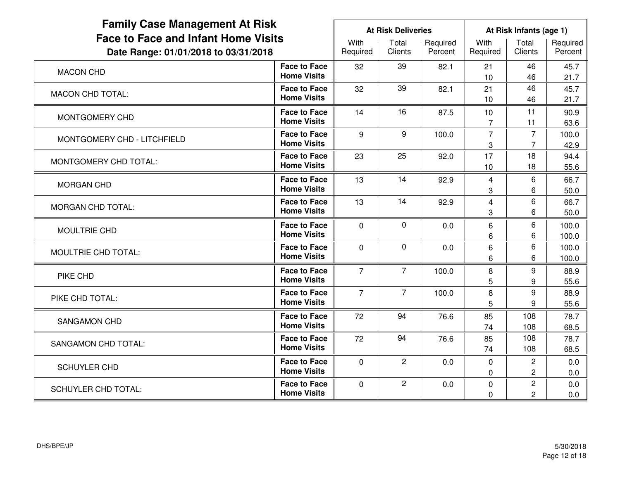| <b>Family Case Management At Risk</b>                                              |                                           |                  | <b>At Risk Deliveries</b> |                     | At Risk Infants (age 1) |                                  |                     |  |
|------------------------------------------------------------------------------------|-------------------------------------------|------------------|---------------------------|---------------------|-------------------------|----------------------------------|---------------------|--|
| <b>Face to Face and Infant Home Visits</b><br>Date Range: 01/01/2018 to 03/31/2018 |                                           | With<br>Required | Total<br>Clients          | Required<br>Percent | With<br>Required        | Total<br>Clients                 | Required<br>Percent |  |
| <b>MACON CHD</b>                                                                   | <b>Face to Face</b>                       | 32               | 39                        | 82.1                | 21                      | 46                               | 45.7                |  |
|                                                                                    | <b>Home Visits</b>                        |                  |                           |                     | 10                      | 46                               | 21.7                |  |
| <b>MACON CHD TOTAL:</b>                                                            | <b>Face to Face</b><br><b>Home Visits</b> | 32               | 39                        | 82.1                | 21<br>10                | 46<br>46                         | 45.7<br>21.7        |  |
| MONTGOMERY CHD                                                                     | <b>Face to Face</b><br><b>Home Visits</b> | 14               | 16                        | 87.5                | 10<br>$\overline{7}$    | 11<br>11                         | 90.9<br>63.6        |  |
| MONTGOMERY CHD - LITCHFIELD                                                        | <b>Face to Face</b><br><b>Home Visits</b> | 9                | 9                         | 100.0               | $\overline{7}$<br>3     | $\overline{7}$<br>$\overline{7}$ | 100.0<br>42.9       |  |
| MONTGOMERY CHD TOTAL:                                                              | <b>Face to Face</b><br><b>Home Visits</b> | 23               | 25                        | 92.0                | 17<br>10                | 18<br>18                         | 94.4<br>55.6        |  |
| <b>MORGAN CHD</b>                                                                  | <b>Face to Face</b><br><b>Home Visits</b> | 13               | 14                        | 92.9                | $\overline{4}$<br>3     | 6<br>6                           | 66.7<br>50.0        |  |
| <b>MORGAN CHD TOTAL:</b>                                                           | <b>Face to Face</b><br><b>Home Visits</b> | 13               | 14                        | 92.9                | 4<br>3                  | 6<br>6                           | 66.7<br>50.0        |  |
| MOULTRIE CHD                                                                       | <b>Face to Face</b><br><b>Home Visits</b> | $\mathbf 0$      | 0                         | 0.0                 | 6<br>6                  | 6<br>6                           | 100.0<br>100.0      |  |
| MOULTRIE CHD TOTAL:                                                                | <b>Face to Face</b><br><b>Home Visits</b> | $\pmb{0}$        | 0                         | 0.0                 | 6<br>6                  | 6<br>6                           | 100.0<br>100.0      |  |
| PIKE CHD                                                                           | <b>Face to Face</b><br><b>Home Visits</b> | 7                | $\overline{7}$            | 100.0               | 8<br>5                  | 9<br>9                           | 88.9<br>55.6        |  |
| PIKE CHD TOTAL:                                                                    | <b>Face to Face</b><br><b>Home Visits</b> | $\overline{7}$   | $\overline{7}$            | 100.0               | 8<br>5                  | 9<br>9                           | 88.9<br>55.6        |  |
| <b>SANGAMON CHD</b>                                                                | <b>Face to Face</b><br><b>Home Visits</b> | 72               | 94                        | 76.6                | 85<br>74                | 108<br>108                       | 78.7<br>68.5        |  |
| <b>SANGAMON CHD TOTAL:</b>                                                         | <b>Face to Face</b><br><b>Home Visits</b> | 72               | 94                        | 76.6                | 85<br>74                | 108<br>108                       | 78.7<br>68.5        |  |
| <b>SCHUYLER CHD</b>                                                                | <b>Face to Face</b><br><b>Home Visits</b> | $\mathbf 0$      | $\overline{2}$            | 0.0                 | $\pmb{0}$<br>0          | $\mathbf 2$<br>2                 | 0.0<br>0.0          |  |
| <b>SCHUYLER CHD TOTAL:</b>                                                         | <b>Face to Face</b><br><b>Home Visits</b> | $\mathbf 0$      | $\overline{c}$            | 0.0                 | $\mathbf 0$<br>0        | $\mathbf 2$<br>$\overline{c}$    | 0.0<br>0.0          |  |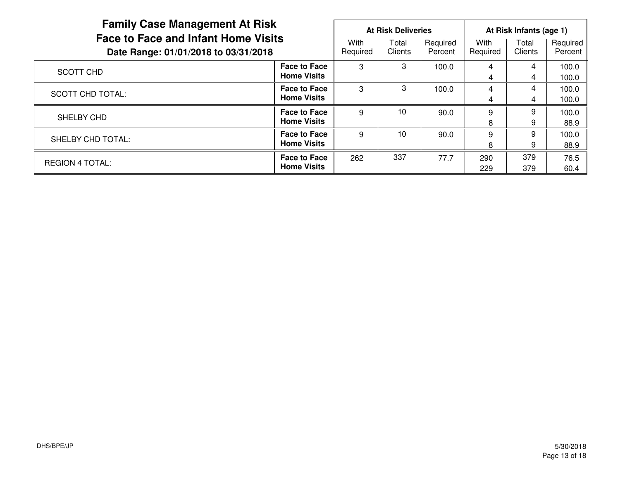| <b>Family Case Management At Risk</b><br><b>Face to Face and Infant Home Visits</b><br>Date Range: 01/01/2018 to 03/31/2018 |                                           |                  | <b>At Risk Deliveries</b> |                     | At Risk Infants (age 1) |                  |                     |  |
|-----------------------------------------------------------------------------------------------------------------------------|-------------------------------------------|------------------|---------------------------|---------------------|-------------------------|------------------|---------------------|--|
|                                                                                                                             |                                           | With<br>Required | Total<br>Clients          | Required<br>Percent | With<br>Required        | Total<br>Clients | Required<br>Percent |  |
| SCOTT CHD                                                                                                                   | <b>Face to Face</b><br><b>Home Visits</b> | 3                | 3                         | 100.0               | 4<br>4                  | 4<br>4           | 100.0<br>100.0      |  |
| <b>SCOTT CHD TOTAL:</b>                                                                                                     | <b>Face to Face</b><br><b>Home Visits</b> | 3                | 3                         | 100.0               | 4<br>4                  | 4<br>4           | 100.0<br>100.0      |  |
| SHELBY CHD                                                                                                                  | <b>Face to Face</b><br><b>Home Visits</b> | 9                | 10                        | 90.0                | 9<br>8                  | 9<br>9           | 100.0<br>88.9       |  |
| SHELBY CHD TOTAL:                                                                                                           | <b>Face to Face</b><br><b>Home Visits</b> | 9                | 10                        | 90.0                | 9<br>8                  | 9<br>9           | 100.0<br>88.9       |  |
| <b>REGION 4 TOTAL:</b>                                                                                                      | <b>Face to Face</b><br><b>Home Visits</b> | 262              | 337                       | 77.7                | 290<br>229              | 379<br>379       | 76.5<br>60.4        |  |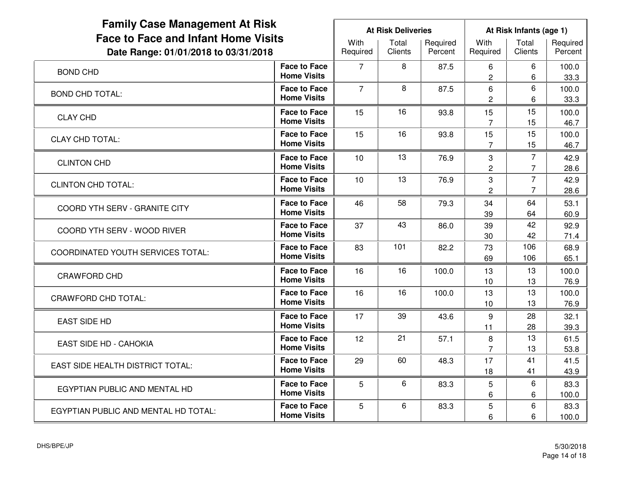| <b>Family Case Management At Risk</b>      |                                           |                | <b>At Risk Deliveries</b> |                     |                      | At Risk Infants (age 1)          |                     |  |  |
|--------------------------------------------|-------------------------------------------|----------------|---------------------------|---------------------|----------------------|----------------------------------|---------------------|--|--|
| <b>Face to Face and Infant Home Visits</b> | Date Range: 01/01/2018 to 03/31/2018      |                | Total<br><b>Clients</b>   | Required<br>Percent | With<br>Required     | Total<br>Clients                 | Required<br>Percent |  |  |
| <b>BOND CHD</b>                            | <b>Face to Face</b><br><b>Home Visits</b> | $\overline{7}$ | 8                         | 87.5                | 6<br>$\overline{c}$  | 6<br>6                           | 100.0<br>33.3       |  |  |
| <b>BOND CHD TOTAL:</b>                     | <b>Face to Face</b><br><b>Home Visits</b> | $\overline{7}$ | 8                         | 87.5                | 6<br>$\overline{c}$  | $6\phantom{1}6$<br>6             | 100.0<br>33.3       |  |  |
| <b>CLAY CHD</b>                            | <b>Face to Face</b><br><b>Home Visits</b> | 15             | 16                        | 93.8                | 15<br>7              | 15<br>15                         | 100.0<br>46.7       |  |  |
| <b>CLAY CHD TOTAL:</b>                     | <b>Face to Face</b><br><b>Home Visits</b> | 15             | 16                        | 93.8                | 15<br>$\overline{7}$ | 15<br>15                         | 100.0<br>46.7       |  |  |
| <b>CLINTON CHD</b>                         | <b>Face to Face</b><br><b>Home Visits</b> | 10             | 13                        | 76.9                | 3<br>$\overline{c}$  | $\overline{7}$<br>$\overline{7}$ | 42.9<br>28.6        |  |  |
| <b>CLINTON CHD TOTAL:</b>                  | <b>Face to Face</b><br><b>Home Visits</b> | 10             | 13                        | 76.9                | 3<br>$\overline{c}$  | $\overline{7}$<br>$\overline{7}$ | 42.9<br>28.6        |  |  |
| COORD YTH SERV - GRANITE CITY              | <b>Face to Face</b><br><b>Home Visits</b> | 46             | 58                        | 79.3                | 34<br>39             | 64<br>64                         | 53.1<br>60.9        |  |  |
| COORD YTH SERV - WOOD RIVER                | <b>Face to Face</b><br><b>Home Visits</b> | 37             | 43                        | 86.0                | 39<br>30             | 42<br>42                         | 92.9<br>71.4        |  |  |
| <b>COORDINATED YOUTH SERVICES TOTAL:</b>   | <b>Face to Face</b><br><b>Home Visits</b> | 83             | 101                       | 82.2                | 73<br>69             | 106<br>106                       | 68.9<br>65.1        |  |  |
| <b>CRAWFORD CHD</b>                        | <b>Face to Face</b><br><b>Home Visits</b> | 16             | 16                        | 100.0               | 13<br>10             | 13<br>13                         | 100.0<br>76.9       |  |  |
| <b>CRAWFORD CHD TOTAL:</b>                 | <b>Face to Face</b><br><b>Home Visits</b> | 16             | 16                        | 100.0               | 13<br>10             | 13<br>13                         | 100.0<br>76.9       |  |  |
| <b>EAST SIDE HD</b>                        | <b>Face to Face</b><br><b>Home Visits</b> | 17             | 39                        | 43.6                | 9<br>11              | 28<br>28                         | 32.1<br>39.3        |  |  |
| EAST SIDE HD - CAHOKIA                     | <b>Face to Face</b><br><b>Home Visits</b> | 12             | 21                        | 57.1                | 8<br>7               | 13<br>13                         | 61.5<br>53.8        |  |  |
| <b>EAST SIDE HEALTH DISTRICT TOTAL:</b>    | <b>Face to Face</b><br><b>Home Visits</b> | 29             | 60                        | 48.3                | 17<br>18             | 41<br>41                         | 41.5<br>43.9        |  |  |
| EGYPTIAN PUBLIC AND MENTAL HD              | <b>Face to Face</b><br><b>Home Visits</b> | 5              | 6                         | 83.3                | 5<br>6               | 6<br>6                           | 83.3<br>100.0       |  |  |
| EGYPTIAN PUBLIC AND MENTAL HD TOTAL:       | <b>Face to Face</b><br><b>Home Visits</b> | 5              | 6                         | 83.3                | 5<br>6               | 6<br>6                           | 83.3<br>100.0       |  |  |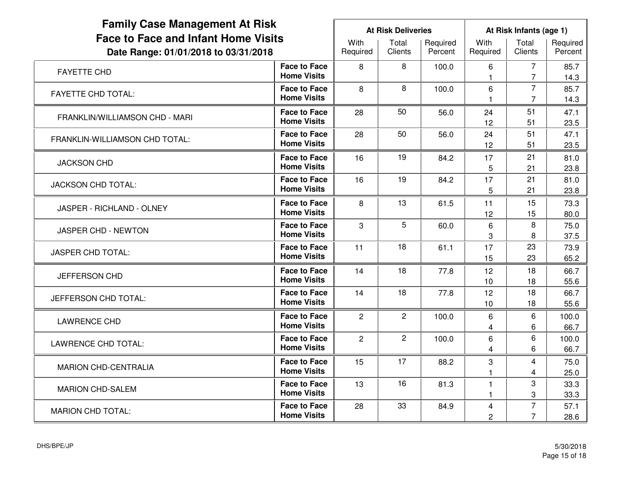| <b>Family Case Management At Risk</b><br><b>Face to Face and Infant Home Visits</b><br>Date Range: 01/01/2018 to 03/31/2018 |                                           |                  | <b>At Risk Deliveries</b> |                     |                                           | At Risk Infants (age 1)          |                     |
|-----------------------------------------------------------------------------------------------------------------------------|-------------------------------------------|------------------|---------------------------|---------------------|-------------------------------------------|----------------------------------|---------------------|
|                                                                                                                             |                                           | With<br>Required | Total<br>Clients          | Required<br>Percent | With<br>Required                          | Total<br><b>Clients</b>          | Required<br>Percent |
| <b>FAYETTE CHD</b>                                                                                                          | <b>Face to Face</b><br><b>Home Visits</b> | 8                | 8                         | 100.0               | 6<br>$\mathbf{1}$                         | $\overline{7}$<br>$\overline{7}$ | 85.7<br>14.3        |
| <b>FAYETTE CHD TOTAL:</b>                                                                                                   | <b>Face to Face</b><br><b>Home Visits</b> | 8                | 8                         | 100.0               | $6\phantom{1}$                            | $\overline{7}$<br>$\overline{7}$ | 85.7<br>14.3        |
| FRANKLIN/WILLIAMSON CHD - MARI                                                                                              | <b>Face to Face</b><br><b>Home Visits</b> | 28               | 50                        | 56.0                | 24<br>12                                  | 51<br>51                         | 47.1<br>23.5        |
| FRANKLIN-WILLIAMSON CHD TOTAL:                                                                                              | <b>Face to Face</b><br><b>Home Visits</b> | 28               | 50                        | 56.0                | 24<br>12                                  | 51<br>51                         | 47.1<br>23.5        |
| <b>JACKSON CHD</b>                                                                                                          | <b>Face to Face</b><br><b>Home Visits</b> | 16               | 19                        | 84.2                | 17<br>$\sqrt{5}$                          | 21<br>21                         | 81.0<br>23.8        |
| <b>JACKSON CHD TOTAL:</b>                                                                                                   | <b>Face to Face</b><br><b>Home Visits</b> | 16               | 19                        | 84.2                | 17<br>5                                   | 21<br>21                         | 81.0<br>23.8        |
| JASPER - RICHLAND - OLNEY                                                                                                   | <b>Face to Face</b><br><b>Home Visits</b> | 8                | 13                        | 61.5                | 11<br>12                                  | 15<br>15                         | 73.3<br>80.0        |
| JASPER CHD - NEWTON                                                                                                         | <b>Face to Face</b><br><b>Home Visits</b> | 3                | 5                         | 60.0                | 6<br>3                                    | 8<br>8                           | 75.0<br>37.5        |
| <b>JASPER CHD TOTAL:</b>                                                                                                    | <b>Face to Face</b><br><b>Home Visits</b> | 11               | 18                        | 61.1                | 17<br>15                                  | 23<br>23                         | 73.9<br>65.2        |
| JEFFERSON CHD                                                                                                               | <b>Face to Face</b><br><b>Home Visits</b> | 14               | 18                        | 77.8                | 12<br>10                                  | 18<br>18                         | 66.7<br>55.6        |
| JEFFERSON CHD TOTAL:                                                                                                        | <b>Face to Face</b><br><b>Home Visits</b> | 14               | 18                        | 77.8                | 12<br>10                                  | 18<br>18                         | 66.7<br>55.6        |
| <b>LAWRENCE CHD</b>                                                                                                         | <b>Face to Face</b><br><b>Home Visits</b> | $\overline{2}$   | $\overline{c}$            | 100.0               | 6<br>4                                    | 6<br>$6\phantom{1}6$             | 100.0<br>66.7       |
| <b>LAWRENCE CHD TOTAL:</b>                                                                                                  | <b>Face to Face</b><br><b>Home Visits</b> | $\overline{c}$   | $\overline{c}$            | 100.0               | 6<br>4                                    | $6\phantom{1}6$<br>6             | 100.0<br>66.7       |
| <b>MARION CHD-CENTRALIA</b>                                                                                                 | <b>Face to Face</b><br><b>Home Visits</b> | 15               | 17                        | 88.2                | 3<br>$\mathbf{1}$                         | 4<br>4                           | 75.0<br>25.0        |
| <b>MARION CHD-SALEM</b>                                                                                                     | <b>Face to Face</b><br><b>Home Visits</b> | 13               | 16                        | 81.3                | $\mathbf{1}$<br>$\mathbf{1}$              | 3<br>3                           | 33.3<br>33.3        |
| <b>MARION CHD TOTAL:</b>                                                                                                    | <b>Face to Face</b><br><b>Home Visits</b> | 28               | 33                        | 84.9                | $\overline{\mathbf{4}}$<br>$\overline{c}$ | $\overline{7}$<br>$\overline{7}$ | 57.1<br>28.6        |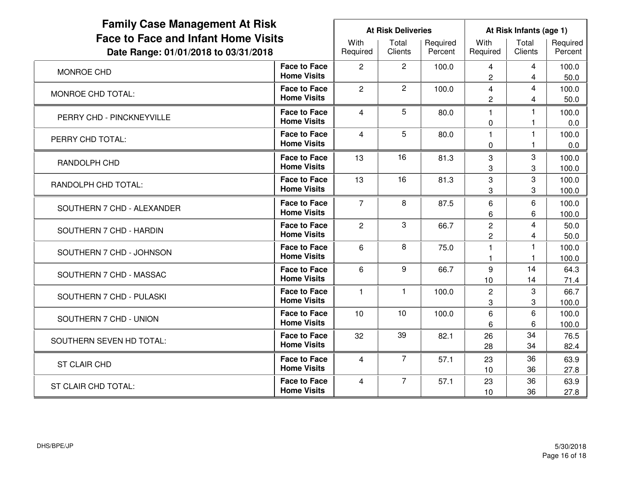| <b>Family Case Management At Risk</b><br><b>Face to Face and Infant Home Visits</b><br>Date Range: 01/01/2018 to 03/31/2018 |                                           |                  | <b>At Risk Deliveries</b> |                     |                                                  | At Risk Infants (age 1) |                       |  |  |
|-----------------------------------------------------------------------------------------------------------------------------|-------------------------------------------|------------------|---------------------------|---------------------|--------------------------------------------------|-------------------------|-----------------------|--|--|
|                                                                                                                             |                                           | With<br>Required | Total<br>Clients          | Required<br>Percent | With<br>Required                                 | Total<br>Clients        | Required<br>Percent   |  |  |
| MONROE CHD                                                                                                                  | <b>Face to Face</b><br><b>Home Visits</b> | $\overline{2}$   | $\overline{2}$            | 100.0               | 4                                                | 4                       | 100.0                 |  |  |
| <b>MONROE CHD TOTAL:</b>                                                                                                    | <b>Face to Face</b><br><b>Home Visits</b> | $\overline{c}$   | $\overline{2}$            | 100.0               | $\mathbf{2}$<br>$\overline{4}$<br>$\overline{c}$ | 4<br>4<br>4             | 50.0<br>100.0<br>50.0 |  |  |
| PERRY CHD - PINCKNEYVILLE                                                                                                   | <b>Face to Face</b><br><b>Home Visits</b> | $\overline{4}$   | 5                         | 80.0                | $\mathbf{1}$<br>0                                | 1<br>1                  | 100.0<br>0.0          |  |  |
| PERRY CHD TOTAL:                                                                                                            | <b>Face to Face</b><br><b>Home Visits</b> | $\overline{4}$   | 5                         | 80.0                | $\mathbf{1}$<br>$\mathbf 0$                      | $\mathbf{1}$<br>1       | 100.0<br>0.0          |  |  |
| RANDOLPH CHD                                                                                                                | <b>Face to Face</b><br><b>Home Visits</b> | 13               | 16                        | 81.3                | 3<br>3                                           | 3<br>3                  | 100.0<br>100.0        |  |  |
| RANDOLPH CHD TOTAL:                                                                                                         | <b>Face to Face</b><br><b>Home Visits</b> | 13               | 16                        | 81.3                | 3<br>3                                           | 3<br>3                  | 100.0<br>100.0        |  |  |
| SOUTHERN 7 CHD - ALEXANDER                                                                                                  | <b>Face to Face</b><br><b>Home Visits</b> | $\overline{7}$   | 8                         | 87.5                | 6<br>6                                           | 6<br>6                  | 100.0<br>100.0        |  |  |
| SOUTHERN 7 CHD - HARDIN                                                                                                     | <b>Face to Face</b><br><b>Home Visits</b> | $\overline{2}$   | 3                         | 66.7                | $\overline{2}$<br>$\overline{c}$                 | $\overline{4}$<br>4     | 50.0<br>50.0          |  |  |
| SOUTHERN 7 CHD - JOHNSON                                                                                                    | <b>Face to Face</b><br><b>Home Visits</b> | 6                | 8                         | 75.0                | $\mathbf 1$<br>$\mathbf 1$                       | $\mathbf{1}$            | 100.0<br>100.0        |  |  |
| SOUTHERN 7 CHD - MASSAC                                                                                                     | <b>Face to Face</b><br><b>Home Visits</b> | 6                | 9                         | 66.7                | 9<br>10                                          | 14<br>14                | 64.3<br>71.4          |  |  |
| SOUTHERN 7 CHD - PULASKI                                                                                                    | <b>Face to Face</b><br><b>Home Visits</b> | $\mathbf{1}$     | $\mathbf{1}$              | 100.0               | $\overline{2}$<br>3                              | 3<br>3                  | 66.7<br>100.0         |  |  |
| SOUTHERN 7 CHD - UNION                                                                                                      | <b>Face to Face</b><br><b>Home Visits</b> | 10               | 10                        | 100.0               | $6\phantom{1}6$<br>6                             | $6\phantom{1}6$<br>6    | 100.0<br>100.0        |  |  |
| SOUTHERN SEVEN HD TOTAL:                                                                                                    | <b>Face to Face</b><br><b>Home Visits</b> | 32               | 39                        | 82.1                | 26<br>28                                         | 34<br>34                | 76.5<br>82.4          |  |  |
| <b>ST CLAIR CHD</b>                                                                                                         | <b>Face to Face</b><br><b>Home Visits</b> | $\overline{4}$   | $\overline{7}$            | 57.1                | 23<br>10                                         | 36<br>36                | 63.9<br>27.8          |  |  |
| ST CLAIR CHD TOTAL:                                                                                                         | <b>Face to Face</b><br><b>Home Visits</b> | 4                | $\overline{7}$            | 57.1                | 23<br>10                                         | 36<br>36                | 63.9<br>27.8          |  |  |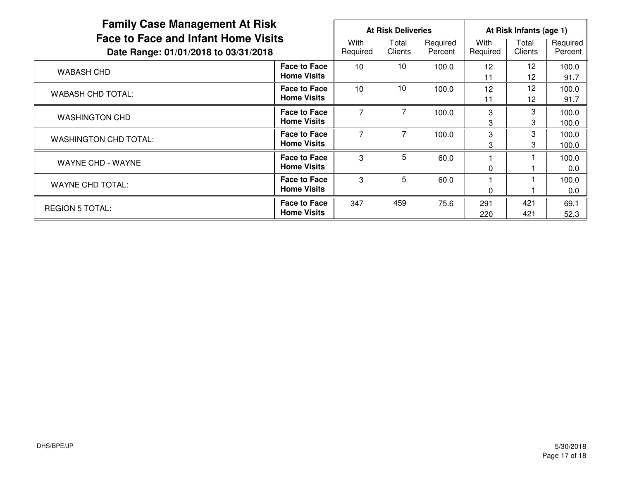| <b>Family Case Management At Risk</b><br><b>Face to Face and Infant Home Visits</b><br>Date Range: 01/01/2018 to 03/31/2018 |                                           |                  | <b>At Risk Deliveries</b> |                     |                  | At Risk Infants (age 1) |                     |  |  |
|-----------------------------------------------------------------------------------------------------------------------------|-------------------------------------------|------------------|---------------------------|---------------------|------------------|-------------------------|---------------------|--|--|
|                                                                                                                             |                                           | With<br>Required | Total<br><b>Clients</b>   | Required<br>Percent | With<br>Required | Total<br>Clients        | Required<br>Percent |  |  |
| WABASH CHD                                                                                                                  | <b>Face to Face</b><br><b>Home Visits</b> | 10               | 10                        | 100.0               | 12<br>11         | 12<br>12 <sup>2</sup>   | 100.0<br>91.7       |  |  |
| <b>WABASH CHD TOTAL:</b>                                                                                                    | <b>Face to Face</b><br><b>Home Visits</b> | 10               | 10                        | 100.0               | 12<br>11         | 12<br>$12 \overline{ }$ | 100.0<br>91.7       |  |  |
| <b>WASHINGTON CHD</b>                                                                                                       | <b>Face to Face</b><br><b>Home Visits</b> | 7                | 7                         | 100.0               | 3<br>3           | 3<br>3                  | 100.0<br>100.0      |  |  |
| <b>WASHINGTON CHD TOTAL:</b>                                                                                                | <b>Face to Face</b><br><b>Home Visits</b> | 7                | 7                         | 100.0               | 3<br>3           | 3<br>3                  | 100.0<br>100.0      |  |  |
| <b>WAYNE CHD - WAYNE</b>                                                                                                    | <b>Face to Face</b><br><b>Home Visits</b> | 3                | 5                         | 60.0                | 0                |                         | 100.0<br>0.0        |  |  |
| <b>WAYNE CHD TOTAL:</b>                                                                                                     | <b>Face to Face</b><br><b>Home Visits</b> | 3                | 5                         | 60.0                | 0                |                         | 100.0<br>0.0        |  |  |
| <b>REGION 5 TOTAL:</b>                                                                                                      | <b>Face to Face</b><br><b>Home Visits</b> | 347              | 459                       | 75.6                | 291<br>220       | 421<br>421              | 69.1<br>52.3        |  |  |